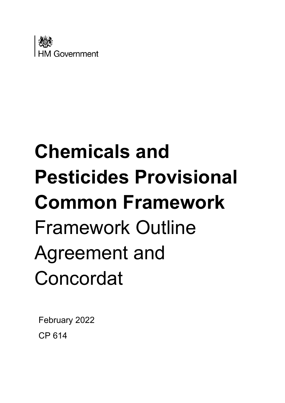

# **Chemicals and Pesticides Provisional Common Framework** Framework Outline Agreement and Concordat

February 2022 CP 614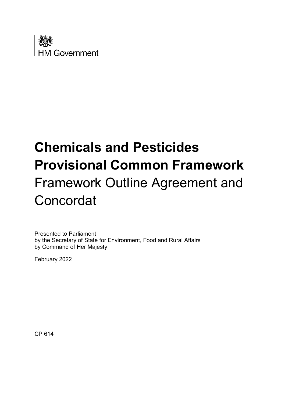

# **Chemicals and Pesticides Provisional Common Framework** Framework Outline Agreement and **Concordat**

Presented to Parliament by the Secretary of State for Environment, Food and Rural Affairs by Command of Her Majesty

February 2022

CP 614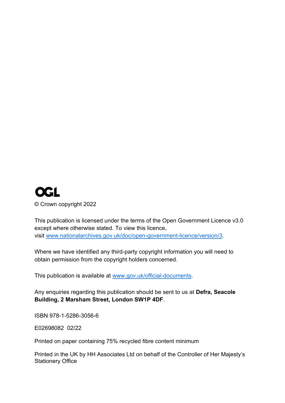# **OGL** © Crown copyright 2022

This publication is licensed under the terms of the Open Government Licence v3.0 except where otherwise stated. To view this licence, visit [www.nationalarchives.gov.uk/doc/open-government-licence/version/3.](http://www.nationalarchives.gov.uk/doc/open-government-licence/version/3)

Where we have identified any third-party copyright information you will need to obtain permission from the copyright holders concerned.

This publication is available at [www.gov.uk/official-documents.](http://www.gov.uk/official-documents)

Any enquiries regarding this publication should be sent to us at **Defra, Seacole Building, 2 Marsham Street, London SW1P 4DF**.

ISBN 978-1-5286-3056-6

E02698082 02/22

Printed on paper containing 75% recycled fibre content minimum

Printed in the UK by HH Associates Ltd on behalf of the Controller of Her Majesty's Stationery Office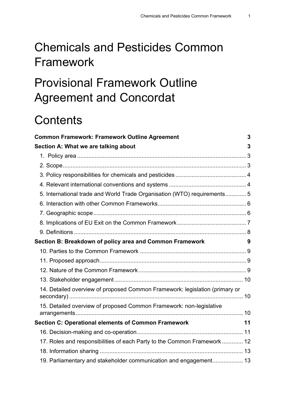# Chemicals and Pesticides Common Framework

# Provisional Framework Outline Agreement and Concordat

# **Contents**

| <b>Common Framework: Framework Outline Agreement</b>                        | 3  |
|-----------------------------------------------------------------------------|----|
| Section A: What we are talking about                                        | 3  |
|                                                                             |    |
|                                                                             |    |
|                                                                             |    |
|                                                                             |    |
| 5. International trade and World Trade Organisation (WTO) requirements 5    |    |
|                                                                             |    |
|                                                                             |    |
|                                                                             |    |
|                                                                             |    |
| Section B: Breakdown of policy area and Common Framework                    | 9  |
|                                                                             |    |
|                                                                             |    |
|                                                                             |    |
|                                                                             |    |
| 14. Detailed overview of proposed Common Framework: legislation (primary or |    |
| 15. Detailed overview of proposed Common Framework: non-legislative         |    |
| <b>Section C: Operational elements of Common Framework</b>                  | 11 |
|                                                                             |    |
| 17. Roles and responsibilities of each Party to the Common Framework  12    |    |
|                                                                             |    |
| 19. Parliamentary and stakeholder communication and engagement 13           |    |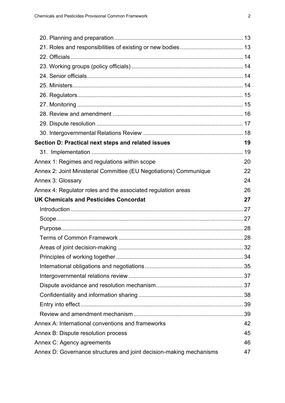<span id="page-5-0"></span>

| Section D: Practical next steps and related issues                | 19 |
|-------------------------------------------------------------------|----|
|                                                                   |    |
| Annex 1: Regimes and regulations within scope                     | 20 |
| Annex 2: Joint Ministerial Committee (EU Negotiations) Communique | 22 |
| Annex 3: Glossary                                                 | 24 |
| Annex 4: Regulator roles and the associated regulation areas      | 26 |
|                                                                   |    |
| <b>UK Chemicals and Pesticides Concordat</b>                      | 27 |
|                                                                   |    |
|                                                                   |    |
|                                                                   |    |
|                                                                   |    |
|                                                                   |    |
|                                                                   |    |
|                                                                   |    |
|                                                                   |    |
|                                                                   |    |
|                                                                   |    |
|                                                                   |    |
|                                                                   |    |
| Annex A: International conventions and frameworks                 | 42 |
| Annex B: Dispute resolution process                               | 45 |
| Annex C: Agency agreements                                        | 46 |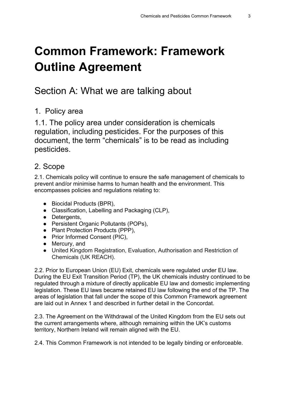# **Common Framework: Framework Outline Agreement**

# <span id="page-6-0"></span>Section A: What we are talking about

#### <span id="page-6-1"></span>1. Policy area

1.1. The policy area under consideration is chemicals regulation, including pesticides. For the purposes of this document, the term "chemicals" is to be read as including pesticides.

#### <span id="page-6-2"></span>2. Scope

2.1. Chemicals policy will continue to ensure the safe management of chemicals to prevent and/or minimise harms to human health and the environment. This encompasses policies and regulations relating to:

- Biocidal Products (BPR),
- Classification, Labelling and Packaging (CLP),
- Detergents,
- Persistent Organic Pollutants (POPs),
- Plant Protection Products (PPP),
- Prior Informed Consent (PIC),
- Mercury, and
- United Kingdom Registration, Evaluation, Authorisation and Restriction of Chemicals (UK REACH).

2.2. Prior to European Union (EU) Exit, chemicals were regulated under EU law. During the EU Exit Transition Period (TP), the UK chemicals industry continued to be regulated through a mixture of directly applicable EU law and domestic implementing legislation. These EU laws became retained EU law following the end of the TP. The areas of legislation that fall under the scope of this Common Framework agreement are laid out in Annex 1 and described in further detail in the Concordat.

2.3. The Agreement on the Withdrawal of the United Kingdom from the EU sets out the current arrangements where, although remaining within the UK's customs territory, Northern Ireland will remain aligned with the EU.

2.4. This Common Framework is not intended to be legally binding or enforceable.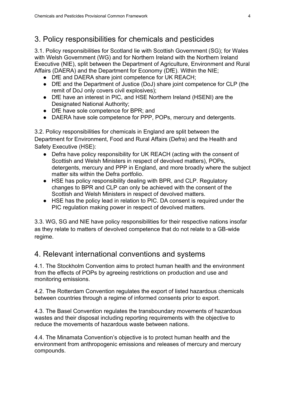### <span id="page-7-0"></span>3. Policy responsibilities for chemicals and pesticides

3.1. Policy responsibilities for Scotland lie with Scottish Government (SG); for Wales with Welsh Government (WG) and for Northern Ireland with the Northern Ireland Executive (NIE), split between the Department of Agriculture, Environment and Rural Affairs (DAERA) and the Department for Economy (DfE). Within the NIE;

- DfE and DAERA share joint competence for UK REACH;
- DfE and the Department of Justice (DoJ) share joint competence for CLP (the remit of DoJ only covers civil explosives);
- DfE have an interest in PIC, and HSE Northern Ireland (HSENI) are the Designated National Authority;
- DfE have sole competence for BPR; and
- DAERA have sole competence for PPP, POPs, mercury and detergents.

3.2. Policy responsibilities for chemicals in England are split between the Department for Environment, Food and Rural Affairs (Defra) and the Health and Safety Executive (HSE):

- Defra have policy responsibility for UK REACH (acting with the consent of Scottish and Welsh Ministers in respect of devolved matters), POPs, detergents, mercury and PPP in England, and more broadly where the subject matter sits within the Defra portfolio.
- HSE has policy responsibility dealing with BPR, and CLP. Regulatory changes to BPR and CLP can only be achieved with the consent of the Scottish and Welsh Ministers in respect of devolved matters.
- HSE has the policy lead in relation to PIC. DA consent is required under the PIC regulation making power in respect of devolved matters.

3.3. WG, SG and NIE have policy responsibilities for their respective nations insofar as they relate to matters of devolved competence that do not relate to a GB-wide regime.

#### <span id="page-7-1"></span>4. Relevant international conventions and systems

4.1. The Stockholm Convention aims to protect human health and the environment from the effects of POPs by agreeing restrictions on production and use and monitoring emissions.

4.2. The Rotterdam Convention regulates the export of listed hazardous chemicals between countries through a regime of informed consents prior to export.

4.3. The Basel Convention regulates the transboundary movements of hazardous wastes and their disposal including reporting requirements with the objective to reduce the movements of hazardous waste between nations.

4.4. The Minamata Convention's objective is to protect human health and the environment from anthropogenic emissions and releases of mercury and mercury compounds.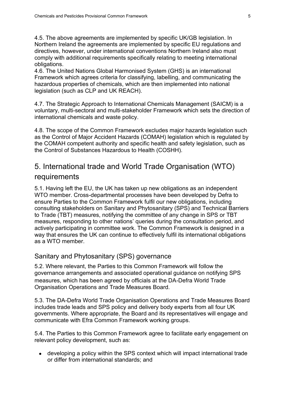4.5. The above agreements are implemented by specific UK/GB legislation. In Northern Ireland the agreements are implemented by specific EU regulations and directives, however, under international conventions Northern Ireland also must comply with additional requirements specifically relating to meeting international obligations.

4.6. The United Nations Global Harmonised System (GHS) is an international Framework which agrees criteria for classifying, labelling, and communicating the hazardous properties of chemicals, which are then implemented into national legislation (such as CLP and UK REACH).

4.7. The Strategic Approach to International Chemicals Management (SAICM) is a voluntary, multi-sectoral and multi-stakeholder Framework which sets the direction of international chemicals and waste policy.

4.8. The scope of the Common Framework excludes major hazards legislation such as the Control of Major Accident Hazards (COMAH) legislation which is regulated by the COMAH competent authority and specific health and safety legislation, such as the Control of Substances Hazardous to Health (COSHH).

# <span id="page-8-0"></span>5. International trade and World Trade Organisation (WTO) requirements

5.1. Having left the EU, the UK has taken up new obligations as an independent WTO member. Cross-departmental processes have been developed by Defra to ensure Parties to the Common Framework fulfil our new obligations, including consulting stakeholders on Sanitary and Phytosanitary (SPS) and Technical Barriers to Trade (TBT) measures, notifying the committee of any change in SPS or TBT measures, responding to other nations' queries during the consultation period, and actively participating in committee work. The Common Framework is designed in a way that ensures the UK can continue to effectively fulfil its international obligations as a WTO member.

#### Sanitary and Phytosanitary (SPS) governance

5.2. Where relevant, the Parties to this Common Framework will follow the governance arrangements and associated operational guidance on notifying SPS measures, which has been agreed by officials at the DA-Defra World Trade Organisation Operations and Trade Measures Board.

5.3. The DA-Defra World Trade Organisation Operations and Trade Measures Board includes trade leads and SPS policy and delivery body experts from all four UK governments. Where appropriate, the Board and its representatives will engage and communicate with Efra Common Framework working groups.

5.4. The Parties to this Common Framework agree to facilitate early engagement on relevant policy development, such as:

• developing a policy within the SPS context which will impact international trade or differ from international standards; and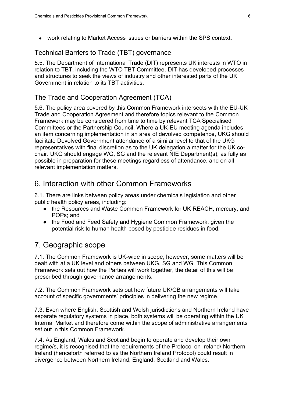● work relating to Market Access issues or barriers within the SPS context.

#### Technical Barriers to Trade (TBT) governance

5.5. The Department of International Trade (DIT) represents UK interests in WTO in relation to TBT, including the WTO TBT Committee. DIT has developed processes and structures to seek the views of industry and other interested parts of the UK Government in relation to its TBT activities.

#### The Trade and Cooperation Agreement (TCA)

5.6. The policy area covered by this Common Framework intersects with the EU-UK Trade and Cooperation Agreement and therefore topics relevant to the Common Framework may be considered from time to time by relevant TCA Specialised Committees or the Partnership Council. Where a UK-EU meeting agenda includes an item concerning implementation in an area of devolved competence, UKG should facilitate Devolved Government attendance of a similar level to that of the UKG representatives with final discretion as to the UK delegation a matter for the UK cochair. UKG should engage WG, SG and the relevant NIE Department(s), as fully as possible in preparation for these meetings regardless of attendance, and on all relevant implementation matters.

#### <span id="page-9-0"></span>6. Interaction with other Common Frameworks

6.1. There are links between policy areas under chemicals legislation and other public health policy areas, including:

- the Resources and Waste Common Framework for UK REACH, mercury, and POPs; and
- the Food and Feed Safety and Hygiene Common Framework, given the potential risk to human health posed by pesticide residues in food.

# <span id="page-9-1"></span>7. Geographic scope

7.1. The Common Framework is UK-wide in scope; however, some matters will be dealt with at a UK level and others between UKG, SG and WG. This Common Framework sets out how the Parties will work together, the detail of this will be prescribed through governance arrangements.

7.2. The Common Framework sets out how future UK/GB arrangements will take account of specific governments' principles in delivering the new regime.

7.3. Even where English, Scottish and Welsh jurisdictions and Northern Ireland have separate regulatory systems in place, both systems will be operating within the UK Internal Market and therefore come within the scope of administrative arrangements set out in this Common Framework.

7.4. As England, Wales and Scotland begin to operate and develop their own regime/s, it is recognised that the requirements of the Protocol on Ireland/ Northern Ireland (henceforth referred to as the Northern Ireland Protocol) could result in divergence between Northern Ireland, England, Scotland and Wales.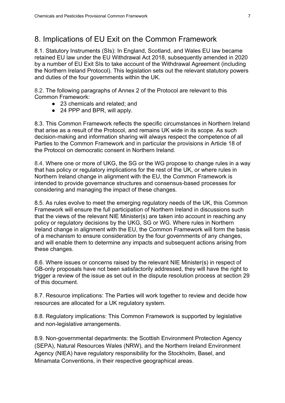#### <span id="page-10-0"></span>8. Implications of EU Exit on the Common Framework

8.1. Statutory Instruments (SIs): In England, Scotland, and Wales EU law became retained EU law under the EU Withdrawal Act 2018, subsequently amended in 2020 by a number of EU Exit SIs to take account of the Withdrawal Agreement (including the Northern Ireland Protocol). This legislation sets out the relevant statutory powers and duties of the four governments within the UK.

8.2. The following paragraphs of Annex 2 of the Protocol are relevant to this Common Framework:

- 23 chemicals and related; and
- 24 PPP and BPR, will apply.

8.3. This Common Framework reflects the specific circumstances in Northern Ireland that arise as a result of the Protocol, and remains UK wide in its scope. As such decision-making and information sharing will always respect the competence of all Parties to the Common Framework and in particular the provisions in Article 18 of the Protocol on democratic consent in Northern Ireland.

8.4. Where one or more of UKG, the SG or the WG propose to change rules in a way that has policy or regulatory implications for the rest of the UK, or where rules in Northern Ireland change in alignment with the EU, the Common Framework is intended to provide governance structures and consensus-based processes for considering and managing the impact of these changes.

8.5. As rules evolve to meet the emerging regulatory needs of the UK, this Common Framework will ensure the full participation of Northern Ireland in discussions such that the views of the relevant NIE Minister(s) are taken into account in reaching any policy or regulatory decisions by the UKG, SG or WG. Where rules in Northern Ireland change in alignment with the EU, the Common Framework will form the basis of a mechanism to ensure consideration by the four governments of any changes, and will enable them to determine any impacts and subsequent actions arising from these changes.

8.6. Where issues or concerns raised by the relevant NIE Minister(s) in respect of GB-only proposals have not been satisfactorily addressed, they will have the right to trigger a review of the issue as set out in the dispute resolution process at section 29 of this document.

8.7. Resource implications: The Parties will work together to review and decide how resources are allocated for a UK regulatory system.

8.8. Regulatory implications: This Common Framework is supported by legislative and non-legislative arrangements.

8.9. Non-governmental departments: the Scottish Environment Protection Agency (SEPA), Natural Resources Wales (NRW), and the Northern Ireland Environment Agency (NIEA) have regulatory responsibility for the Stockholm, Basel, and Minamata Conventions, in their respective geographical areas.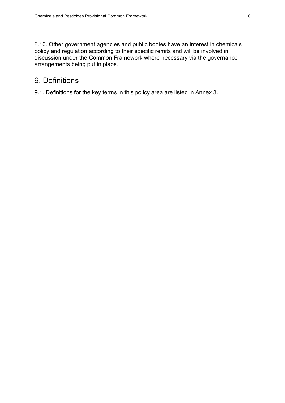8.10. Other government agencies and public bodies have an interest in chemicals policy and regulation according to their specific remits and will be involved in discussion under the Common Framework where necessary via the governance arrangements being put in place.

#### <span id="page-11-0"></span>9. Definitions

9.1. Definitions for the key terms in this policy area are listed in Annex 3.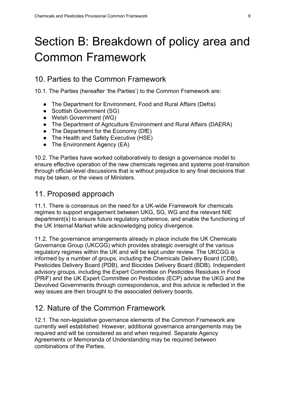# <span id="page-12-0"></span>Section B: Breakdown of policy area and Common Framework

#### <span id="page-12-1"></span>10. Parties to the Common Framework

10.1. The Parties (hereafter 'the Parties') to the Common Framework are:

- The Department for Environment, Food and Rural Affairs (Defra)
- Scottish Government (SG)
- Welsh Government (WG)
- The Department of Agriculture Environment and Rural Affairs (DAERA)
- The Department for the Economy (DfE)
- The Health and Safety Executive (HSE)
- The Environment Agency (EA)

10.2. The Parties have worked collaboratively to design a governance model to ensure effective operation of the new chemicals regimes and systems post-transition through official-level discussions that is without prejudice to any final decisions that may be taken, or the views of Ministers.

#### <span id="page-12-2"></span>11. Proposed approach

11.1. There is consensus on the need for a UK-wide Framework for chemicals regimes to support engagement between UKG, SG, WG and the relevant NIE department(s) to ensure future regulatory coherence, and enable the functioning of the UK Internal Market while acknowledging policy divergence.

11.2. The governance arrangements already in place include the UK Chemicals Governance Group (UKCGG) which provides strategic oversight of the various regulatory regimes within the UK and will be kept under review. The UKCGG is informed by a number of groups, including the Chemicals Delivery Board (CDB), Pesticides Delivery Board (PDB), and Biocides Delivery Board (BDB). Independent advisory groups, including the Expert Committee on Pesticides Residues in Food (PRiF) and the UK Expert Committee on Pesticides (ECP) advise the UKG and the Devolved Governments through correspondence, and this advice is reflected in the way issues are then brought to the associated delivery boards.

#### <span id="page-12-3"></span>12. Nature of the Common Framework

12.1. The non-legislative governance elements of the Common Framework are currently well established. However, additional governance arrangements may be required and will be considered as and when required. Separate Agency Agreements or Memoranda of Understanding may be required between combinations of the Parties.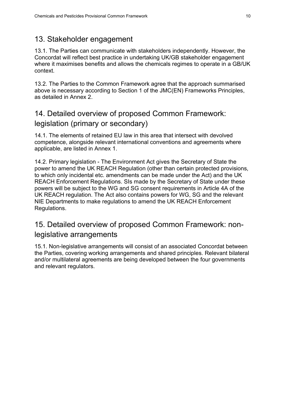### <span id="page-13-0"></span>13. Stakeholder engagement

13.1. The Parties can communicate with stakeholders independently. However, the Concordat will reflect best practice in undertaking UK/GB stakeholder engagement where it maximises benefits and allows the chemicals regimes to operate in a GB/UK context.

13.2. The Parties to the Common Framework agree that the approach summarised above is necessary according to Section 1 of the JMC(EN) Frameworks Principles, as detailed in Annex 2.

# <span id="page-13-1"></span>14. Detailed overview of proposed Common Framework: legislation (primary or secondary)

14.1. The elements of retained EU law in this area that intersect with devolved competence, alongside relevant international conventions and agreements where applicable, are listed in Annex 1.

14.2. Primary legislation - The Environment Act gives the Secretary of State the power to amend the UK REACH Regulation (other than certain protected provisions, to which only incidental etc. amendments can be made under the Act) and the UK REACH Enforcement Regulations. SIs made by the Secretary of State under these powers will be subject to the WG and SG consent requirements in Article 4A of the UK REACH regulation. The Act also contains powers for WG, SG and the relevant NIE Departments to make regulations to amend the UK REACH Enforcement Regulations.

# <span id="page-13-2"></span>15. Detailed overview of proposed Common Framework: nonlegislative arrangements

15.1. Non-legislative arrangements will consist of an associated Concordat between the Parties, covering working arrangements and shared principles. Relevant bilateral and/or multilateral agreements are being developed between the four governments and relevant regulators.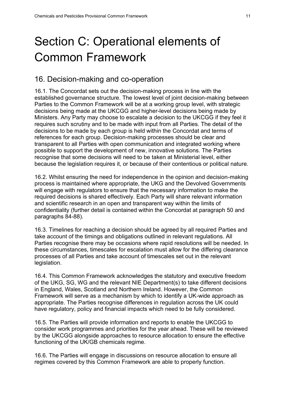# <span id="page-14-0"></span>Section C: Operational elements of Common Framework

#### <span id="page-14-1"></span>16. Decision-making and co-operation

16.1. The Concordat sets out the decision-making process in line with the established governance structure. The lowest level of joint decision-making between Parties to the Common Framework will be at a working group level, with strategic decisions being made at the UKCGG and higher-level decisions being made by Ministers. Any Party may choose to escalate a decision to the UKCGG if they feel it requires such scrutiny and to be made with input from all Parties. The detail of the decisions to be made by each group is held within the Concordat and terms of references for each group. Decision-making processes should be clear and transparent to all Parties with open communication and integrated working where possible to support the development of new, innovative solutions. The Parties recognise that some decisions will need to be taken at Ministerial level, either because the legislation requires it, or because of their contentious or political nature.

16.2. Whilst ensuring the need for independence in the opinion and decision-making process is maintained where appropriate, the UKG and the Devolved Governments will engage with regulators to ensure that the necessary information to make the required decisions is shared effectively. Each Party will share relevant information and scientific research in an open and transparent way within the limits of confidentiality (further detail is contained within the Concordat at paragraph 50 and paragraphs 84-88).

16.3. Timelines for reaching a decision should be agreed by all required Parties and take account of the timings and obligations outlined in relevant regulations. All Parties recognise there may be occasions where rapid resolutions will be needed. In these circumstances, timescales for escalation must allow for the differing clearance processes of all Parties and take account of timescales set out in the relevant legislation.

16.4. This Common Framework acknowledges the statutory and executive freedom of the UKG, SG, WG and the relevant NIE Department(s) to take different decisions in England, Wales, Scotland and Northern Ireland. However, the Common Framework will serve as a mechanism by which to identify a UK-wide approach as appropriate. The Parties recognise differences in regulation across the UK could have regulatory, policy and financial impacts which need to be fully considered.

16.5. The Parties will provide information and reports to enable the UKCGG to consider work programmes and priorities for the year ahead. These will be reviewed by the UKCGG alongside approaches to resource allocation to ensure the effective functioning of the UK/GB chemicals regime.

16.6. The Parties will engage in discussions on resource allocation to ensure all regimes covered by this Common Framework are able to properly function.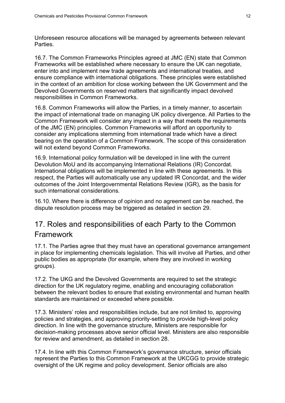Unforeseen resource allocations will be managed by agreements between relevant **Parties** 

16.7. The Common Frameworks Principles agreed at JMC (EN) state that Common Frameworks will be established where necessary to ensure the UK can negotiate, enter into and implement new trade agreements and international treaties, and ensure compliance with international obligations. These principles were established in the context of an ambition for close working between the UK Government and the Devolved Governments on reserved matters that significantly impact devolved responsibilities in Common Frameworks.

16.8. Common Frameworks will allow the Parties, in a timely manner, to ascertain the impact of international trade on managing UK policy divergence. All Parties to the Common Framework will consider any impact in a way that meets the requirements of the JMC (EN) principles. Common Frameworks will afford an opportunity to consider any implications stemming from international trade which have a direct bearing on the operation of a Common Framework. The scope of this consideration will not extend beyond Common Frameworks.

16.9. International policy formulation will be developed in line with the current Devolution MoU and its accompanying International Relations (IR) Concordat. International obligations will be implemented in line with these agreements. In this respect, the Parties will automatically use any updated IR Concordat, and the wider outcomes of the Joint Intergovernmental Relations Review (IGR), as the basis for such international considerations.

16.10. Where there is difference of opinion and no agreement can be reached, the dispute resolution process may be triggered as detailed in section 29.

# <span id="page-15-0"></span>17. Roles and responsibilities of each Party to the Common Framework

17.1. The Parties agree that they must have an operational governance arrangement in place for implementing chemicals legislation. This will involve all Parties, and other public bodies as appropriate (for example, where they are involved in working groups).

17.2. The UKG and the Devolved Governments are required to set the strategic direction for the UK regulatory regime, enabling and encouraging collaboration between the relevant bodies to ensure that existing environmental and human health standards are maintained or exceeded where possible.

17.3. Ministers' roles and responsibilities include, but are not limited to, approving policies and strategies, and approving priority-setting to provide high-level policy direction. In line with the governance structure, Ministers are responsible for decision-making processes above senior official level. Ministers are also responsible for review and amendment, as detailed in section 28.

17.4. In line with this Common Framework's governance structure, senior officials represent the Parties to this Common Framework at the UKCGG to provide strategic oversight of the UK regime and policy development. Senior officials are also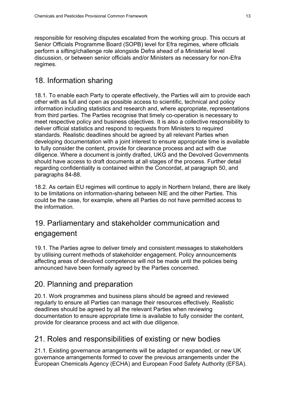responsible for resolving disputes escalated from the working group. This occurs at Senior Officials Programme Board (SOPB) level for Efra regimes, where officials perform a sifting/challenge role alongside Defra ahead of a Ministerial level discussion, or between senior officials and/or Ministers as necessary for non-Efra regimes.

# <span id="page-16-0"></span>18. Information sharing

18.1. To enable each Party to operate effectively, the Parties will aim to provide each other with as full and open as possible access to scientific, technical and policy information including statistics and research and, where appropriate, representations from third parties. The Parties recognise that timely co-operation is necessary to meet respective policy and business objectives. It is also a collective responsibility to deliver official statistics and respond to requests from Ministers to required standards. Realistic deadlines should be agreed by all relevant Parties when developing documentation with a joint interest to ensure appropriate time is available to fully consider the content, provide for clearance process and act with due diligence. Where a document is jointly drafted, UKG and the Devolved Governments should have access to draft documents at all stages of the process. Further detail regarding confidentiality is contained within the Concordat, at paragraph 50, and paragraphs 84-88.

18.2. As certain EU regimes will continue to apply in Northern Ireland, there are likely to be limitations on information-sharing between NIE and the other Parties. This could be the case, for example, where all Parties do not have permitted access to the information.

# <span id="page-16-1"></span>19. Parliamentary and stakeholder communication and engagement

19.1. The Parties agree to deliver timely and consistent messages to stakeholders by utilising current methods of stakeholder engagement. Policy announcements affecting areas of devolved competence will not be made until the policies being announced have been formally agreed by the Parties concerned.

# <span id="page-16-2"></span>20. Planning and preparation

20.1. Work programmes and business plans should be agreed and reviewed regularly to ensure all Parties can manage their resources effectively. Realistic deadlines should be agreed by all the relevant Parties when reviewing documentation to ensure appropriate time is available to fully consider the content, provide for clearance process and act with due diligence.

#### <span id="page-16-3"></span>21. Roles and responsibilities of existing or new bodies

21.1. Existing governance arrangements will be adapted or expanded, or new UK governance arrangements formed to cover the previous arrangements under the European Chemicals Agency (ECHA) and European Food Safety Authority (EFSA).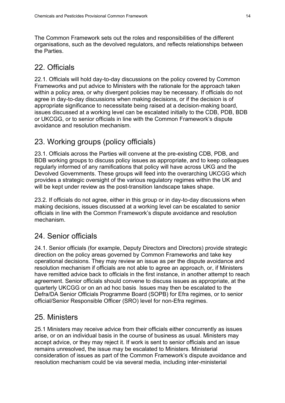The Common Framework sets out the roles and responsibilities of the different organisations, such as the devolved regulators, and reflects relationships between the Parties.

### <span id="page-17-0"></span>22. Officials

22.1. Officials will hold day-to-day discussions on the policy covered by Common Frameworks and put advice to Ministers with the rationale for the approach taken within a policy area, or why divergent policies may be necessary. If officials do not agree in day-to-day discussions when making decisions, or if the decision is of appropriate significance to necessitate being raised at a decision-making board, issues discussed at a working level can be escalated initially to the CDB, PDB, BDB or UKCGG, or to senior officials in line with the Common Framework's dispute avoidance and resolution mechanism.

# <span id="page-17-1"></span>23. Working groups (policy officials)

23.1. Officials across the Parties will convene at the pre-existing CDB, PDB, and BDB working groups to discuss policy issues as appropriate, and to keep colleagues regularly informed of any ramifications that policy will have across UKG and the Devolved Governments. These groups will feed into the overarching UKCGG which provides a strategic oversight of the various regulatory regimes within the UK and will be kept under review as the post-transition landscape takes shape.

23.2. If officials do not agree, either in this group or in day-to-day discussions when making decisions, issues discussed at a working level can be escalated to senior officials in line with the Common Framework's dispute avoidance and resolution mechanism.

# <span id="page-17-2"></span>24. Senior officials

24.1. Senior officials (for example, Deputy Directors and Directors) provide strategic direction on the policy areas governed by Common Frameworks and take key operational decisions. They may review an issue as per the dispute avoidance and resolution mechanism if officials are not able to agree an approach, or, if Ministers have remitted advice back to officials in the first instance, in another attempt to reach agreement. Senior officials should convene to discuss issues as appropriate, at the quarterly UKCGG or on an ad hoc basis. Issues may then be escalated to the Defra/DA Senior Officials Programme Board (SOPB) for Efra regimes, or to senior official/Senior Responsible Officer (SRO) level for non-Efra regimes.

# <span id="page-17-3"></span>25. Ministers

25.1 Ministers may receive advice from their officials either concurrently as issues arise, or on an individual basis in the course of business as usual. Ministers may accept advice, or they may reject it. If work is sent to senior officials and an issue remains unresolved, the issue may be escalated to Ministers. Ministerial consideration of issues as part of the Common Framework's dispute avoidance and resolution mechanism could be via several media, including inter-ministerial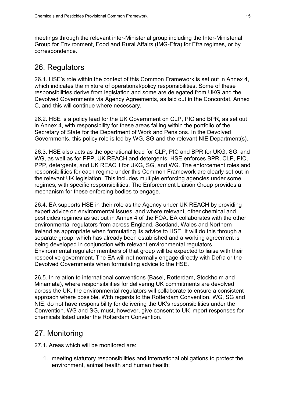meetings through the relevant inter-Ministerial group including the Inter-Ministerial Group for Environment, Food and Rural Affairs (IMG-Efra) for Efra regimes, or by correspondence.

### <span id="page-18-0"></span>26. Regulators

26.1. HSE's role within the context of this Common Framework is set out in Annex 4, which indicates the mixture of operational/policy responsibilities. Some of these responsibilities derive from legislation and some are delegated from UKG and the Devolved Governments via Agency Agreements, as laid out in the Concordat, Annex C, and this will continue where necessary.

26.2. HSE is a policy lead for the UK Government on CLP, PIC and BPR, as set out in Annex 4, with responsibility for these areas falling within the portfolio of the Secretary of State for the Department of Work and Pensions. In the Devolved Governments, this policy role is led by WG, SG and the relevant NIE Department(s).

26.3. HSE also acts as the operational lead for CLP, PIC and BPR for UKG, SG, and WG, as well as for PPP, UK REACH and detergents. HSE enforces BPR, CLP, PIC, PPP, detergents, and UK REACH for UKG, SG, and WG. The enforcement roles and responsibilities for each regime under this Common Framework are clearly set out in the relevant UK legislation. This includes multiple enforcing agencies under some regimes, with specific responsibilities. The Enforcement Liaison Group provides a mechanism for these enforcing bodies to engage.

26.4. EA supports HSE in their role as the Agency under UK REACH by providing expert advice on environmental issues, and where relevant, other chemical and pesticides regimes as set out in Annex 4 of the FOA. EA collaborates with the other environmental regulators from across England, Scotland, Wales and Northern Ireland as appropriate when formulating its advice to HSE. It will do this through a separate group, which has already been established and a working agreement is being developed in conjunction with relevant environmental regulators. Environmental regulator members of that group will be expected to liaise with their respective government. The EA will not normally engage directly with Defra or the Devolved Governments when formulating advice to the HSE.

26.5. In relation to international conventions (Basel, Rotterdam, Stockholm and Minamata), where responsibilities for delivering UK commitments are devolved across the UK, the environmental regulators will collaborate to ensure a consistent approach where possible. With regards to the Rotterdam Convention, WG, SG and NIE, do not have responsibility for delivering the UK's responsibilities under the Convention. WG and SG, must, however, give consent to UK import responses for chemicals listed under the Rotterdam Convention.

# <span id="page-18-1"></span>27. Monitoring

27.1. Areas which will be monitored are:

1. meeting statutory responsibilities and international obligations to protect the environment, animal health and human health;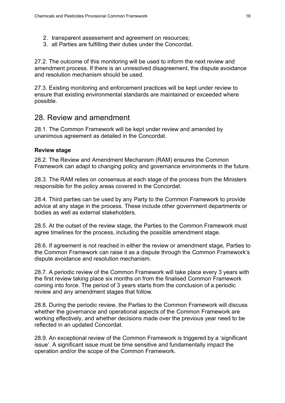- 2. transparent assessment and agreement on resources;
- 3. all Parties are fulfilling their duties under the Concordat.

27.2. The outcome of this monitoring will be used to inform the next review and amendment process. If there is an unresolved disagreement, the dispute avoidance and resolution mechanism should be used.

27.3. Existing monitoring and enforcement practices will be kept under review to ensure that existing environmental standards are maintained or exceeded where possible.

#### <span id="page-19-0"></span>28. Review and amendment

28.1. The Common Framework will be kept under review and amended by unanimous agreement as detailed in the Concordat.

#### **Review stage**

28.2. The Review and Amendment Mechanism (RAM) ensures the Common Framework can adapt to changing policy and governance environments in the future.

28.3. The RAM relies on consensus at each stage of the process from the Ministers responsible for the policy areas covered in the Concordat.

28.4. Third parties can be used by any Party to the Common Framework to provide advice at any stage in the process. These include other government departments or bodies as well as external stakeholders.

28.5. At the outset of the review stage, the Parties to the Common Framework must agree timelines for the process, including the possible amendment stage.

28.6. If agreement is not reached in either the review or amendment stage, Parties to the Common Framework can raise it as a dispute through the Common Framework's dispute avoidance and resolution mechanism.

28.7. A periodic review of the Common Framework will take place every 3 years with the first review taking place six months on from the finalised Common Framework coming into force. The period of 3 years starts from the conclusion of a periodic review and any amendment stages that follow.

28.8. During the periodic review, the Parties to the Common Framework will discuss whether the governance and operational aspects of the Common Framework are working effectively, and whether decisions made over the previous year need to be reflected in an updated Concordat.

28.9. An exceptional review of the Common Framework is triggered by a 'significant issue'. A significant issue must be time sensitive and fundamentally impact the operation and/or the scope of the Common Framework.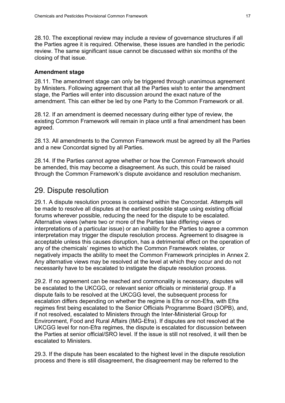28.10. The exceptional review may include a review of governance structures if all the Parties agree it is required. Otherwise, these issues are handled in the periodic review. The same significant issue cannot be discussed within six months of the closing of that issue.

#### **Amendment stage**

28.11. The amendment stage can only be triggered through unanimous agreement by Ministers. Following agreement that all the Parties wish to enter the amendment stage, the Parties will enter into discussion around the exact nature of the amendment. This can either be led by one Party to the Common Framework or all.

28.12. If an amendment is deemed necessary during either type of review, the existing Common Framework will remain in place until a final amendment has been agreed.

28.13. All amendments to the Common Framework must be agreed by all the Parties and a new Concordat signed by all Parties.

28.14. If the Parties cannot agree whether or how the Common Framework should be amended, this may become a disagreement. As such, this could be raised through the Common Framework's dispute avoidance and resolution mechanism.

#### <span id="page-20-0"></span>29. Dispute resolution

29.1. A dispute resolution process is contained within the Concordat. Attempts will be made to resolve all disputes at the earliest possible stage using existing official forums wherever possible, reducing the need for the dispute to be escalated. Alternative views (where two or more of the Parties take differing views or interpretations of a particular issue) or an inability for the Parties to agree a common interpretation may trigger the dispute resolution process. Agreement to disagree is acceptable unless this causes disruption, has a detrimental effect on the operation of any of the chemicals' regimes to which the Common Framework relates, or negatively impacts the ability to meet the Common Framework principles in Annex 2. Any alternative views may be resolved at the level at which they occur and do not necessarily have to be escalated to instigate the dispute resolution process.

29.2. If no agreement can be reached and commonality is necessary, disputes will be escalated to the UKCGG, or relevant senior officials or ministerial group. If a dispute fails to be resolved at the UKCGG level, the subsequent process for escalation differs depending on whether the regime is Efra or non-Efra, with Efra regimes first being escalated to the Senior Officials Programme Board (SOPB), and, if not resolved, escalated to Ministers through the Inter-Ministerial Group for Environment, Food and Rural Affairs (IMG-Efra). If disputes are not resolved at the UKCGG level for non-Efra regimes, the dispute is escalated for discussion between the Parties at senior official/SRO level. If the issue is still not resolved, it will then be escalated to Ministers.

29.3. If the dispute has been escalated to the highest level in the dispute resolution process and there is still disagreement, the disagreement may be referred to the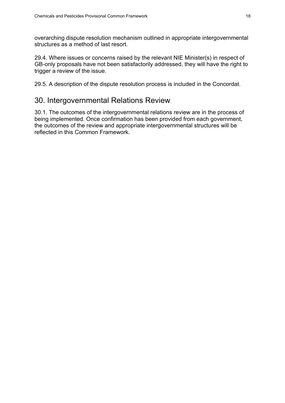overarching dispute resolution mechanism outlined in appropriate intergovernmental structures as a method of last resort.

29.4. Where issues or concerns raised by the relevant NIE Minister(s) in respect of GB-only proposals have not been satisfactorily addressed, they will have the right to trigger a review of the issue.

<span id="page-21-0"></span>29.5. A description of the dispute resolution process is included in the Concordat.

### 30. Intergovernmental Relations Review

30.1. The outcomes of the intergovernmental relations review are in the process of being implemented. Once confirmation has been provided from each government, the outcomes of the review and appropriate intergovernmental structures will be reflected in this Common Framework.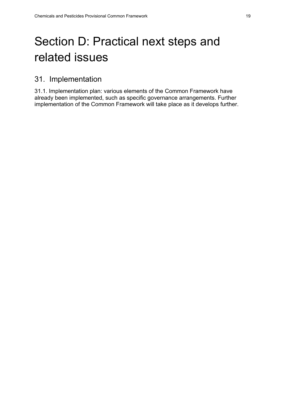# <span id="page-22-0"></span>Section D: Practical next steps and related issues

# <span id="page-22-1"></span>31. Implementation

31.1. Implementation plan: various elements of the Common Framework have already been implemented, such as specific governance arrangements. Further implementation of the Common Framework will take place as it develops further.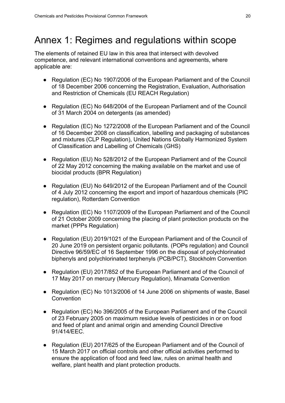# <span id="page-23-0"></span>Annex 1: Regimes and regulations within scope

The elements of retained EU law in this area that intersect with devolved competence, and relevant international conventions and agreements, where applicable are:

- Regulation (EC) No 1907/2006 of the European Parliament and of the Council of 18 December 2006 concerning the Registration, Evaluation, Authorisation and Restriction of Chemicals (EU REACH Regulation)
- Regulation (EC) No 648/2004 of the European Parliament and of the Council of 31 March 2004 on detergents (as amended)
- Regulation (EC) No 1272/2008 of the European Parliament and of the Council of 16 December 2008 on classification, labelling and packaging of substances and mixtures (CLP Regulation), United Nations Globally Harmonized System of Classification and Labelling of Chemicals (GHS)
- Regulation (EU) No 528/2012 of the European Parliament and of the Council of 22 May 2012 concerning the making available on the market and use of biocidal products (BPR Regulation)
- Regulation (EU) No 649/2012 of the European Parliament and of the Council of 4 July 2012 concerning the export and import of hazardous chemicals (PIC regulation), Rotterdam Convention
- Regulation (EC) No 1107/2009 of the European Parliament and of the Council of 21 October 2009 concerning the placing of plant protection products on the market (PPPs Regulation)
- Regulation (EU) 2019/1021 of the European Parliament and of the Council of 20 June 2019 on persistent organic pollutants. (POPs regulation) and Council Directive 96/59/EC of 16 September 1996 on the disposal of polychlorinated biphenyls and polychlorinated terphenyls (PCB/PCT), Stockholm Convention
- Regulation (EU) 2017/852 of the European Parliament and of the Council of 17 May 2017 on mercury (Mercury Regulation), Minamata Convention
- Regulation (EC) No 1013/2006 of 14 June 2006 on shipments of waste, Basel **Convention**
- Regulation (EC) No 396/2005 of the European Parliament and of the Council of 23 February 2005 on maximum residue levels of pesticides in or on food and feed of plant and animal origin and amending Council Directive 91/414/EEC.
- Regulation (EU) 2017/625 of the European Parliament and of the Council of 15 March 2017 on official controls and other official activities performed to ensure the application of food and feed law, rules on animal health and welfare, plant health and plant protection products.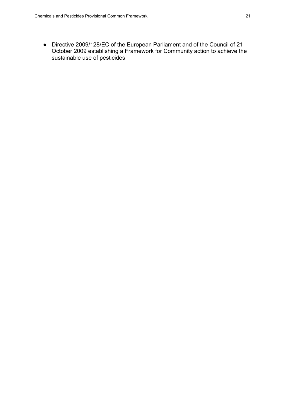● Directive 2009/128/EC of the European Parliament and of the Council of 21 October 2009 establishing a Framework for Community action to achieve the sustainable use of pesticides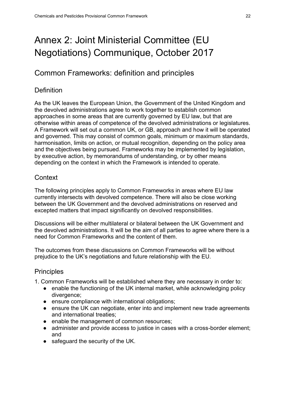# <span id="page-25-0"></span>Annex 2: Joint Ministerial Committee (EU Negotiations) Communique, October 2017

### Common Frameworks: definition and principles

#### **Definition**

As the UK leaves the European Union, the Government of the United Kingdom and the devolved administrations agree to work together to establish common approaches in some areas that are currently governed by EU law, but that are otherwise within areas of competence of the devolved administrations or legislatures. A Framework will set out a common UK, or GB, approach and how it will be operated and governed. This may consist of common goals, minimum or maximum standards, harmonisation, limits on action, or mutual recognition, depending on the policy area and the objectives being pursued. Frameworks may be implemented by legislation, by executive action, by memorandums of understanding, or by other means depending on the context in which the Framework is intended to operate.

#### **Context**

The following principles apply to Common Frameworks in areas where EU law currently intersects with devolved competence. There will also be close working between the UK Government and the devolved administrations on reserved and excepted matters that impact significantly on devolved responsibilities.

Discussions will be either multilateral or bilateral between the UK Government and the devolved administrations. It will be the aim of all parties to agree where there is a need for Common Frameworks and the content of them.

The outcomes from these discussions on Common Frameworks will be without prejudice to the UK's negotiations and future relationship with the EU.

#### **Principles**

- 1. Common Frameworks will be established where they are necessary in order to:
	- enable the functioning of the UK internal market, while acknowledging policy divergence;
	- ensure compliance with international obligations;
	- ensure the UK can negotiate, enter into and implement new trade agreements and international treaties;
	- enable the management of common resources;
	- administer and provide access to justice in cases with a cross-border element; and
	- safeguard the security of the UK.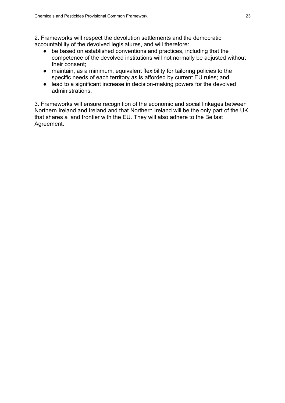2. Frameworks will respect the devolution settlements and the democratic accountability of the devolved legislatures, and will therefore:

- be based on established conventions and practices, including that the competence of the devolved institutions will not normally be adjusted without their consent;
- maintain, as a minimum, equivalent flexibility for tailoring policies to the specific needs of each territory as is afforded by current EU rules; and
- lead to a significant increase in decision-making powers for the devolved administrations.

3. Frameworks will ensure recognition of the economic and social linkages between Northern Ireland and Ireland and that Northern Ireland will be the only part of the UK that shares a land frontier with the EU. They will also adhere to the Belfast Agreement.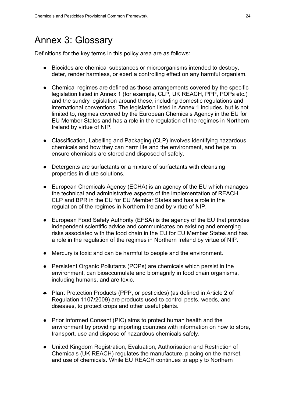# <span id="page-27-0"></span>Annex 3: Glossary

Definitions for the key terms in this policy area are as follows:

- Biocides are chemical substances or microorganisms intended to destroy, deter, render harmless, or exert a controlling effect on any harmful organism.
- Chemical regimes are defined as those arrangements covered by the specific legislation listed in Annex 1 (for example, CLP, UK REACH, PPP, POPs etc.) and the sundry legislation around these, including domestic regulations and international conventions. The legislation listed in Annex 1 includes, but is not limited to, regimes covered by the European Chemicals Agency in the EU for EU Member States and has a role in the regulation of the regimes in Northern Ireland by virtue of NIP.
- Classification, Labelling and Packaging (CLP) involves identifying hazardous chemicals and how they can harm life and the environment, and helps to ensure chemicals are stored and disposed of safely.
- Detergents are surfactants or a mixture of surfactants with cleansing properties in dilute solutions.
- European Chemicals Agency (ECHA) is an agency of the EU which manages the technical and administrative aspects of the implementation of REACH, CLP and BPR in the EU for EU Member States and has a role in the regulation of the regimes in Northern Ireland by virtue of NIP.
- European Food Safety Authority (EFSA) is the agency of the EU that provides independent scientific advice and communicates on existing and emerging risks associated with the food chain in the EU for EU Member States and has a role in the regulation of the regimes in Northern Ireland by virtue of NIP.
- Mercury is toxic and can be harmful to people and the environment.
- Persistent Organic Pollutants (POPs) are chemicals which persist in the environment, can bioaccumulate and biomagnify in food chain organisms, including humans, and are toxic.
- Plant Protection Products (PPP, or pesticides) (as defined in Article 2 of Regulation 1107/2009) are products used to control pests, weeds, and diseases, to protect crops and other useful plants.
- Prior Informed Consent (PIC) aims to protect human health and the environment by providing importing countries with information on how to store, transport, use and dispose of hazardous chemicals safely.
- United Kingdom Registration, Evaluation, Authorisation and Restriction of Chemicals (UK REACH) regulates the manufacture, placing on the market, and use of chemicals. While EU REACH continues to apply to Northern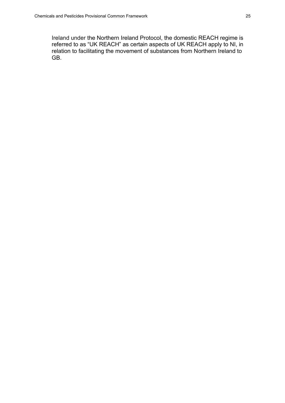Ireland under the Northern Ireland Protocol, the domestic REACH regime is referred to as "UK REACH" as certain aspects of UK REACH apply to NI, in relation to facilitating the movement of substances from Northern Ireland to GB.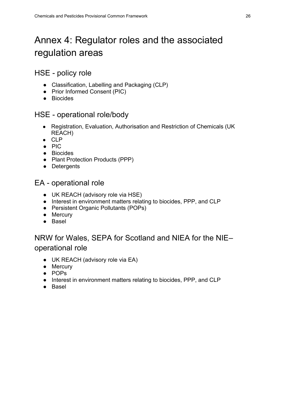# <span id="page-29-0"></span>Annex 4: Regulator roles and the associated regulation areas

### HSE - policy role

- Classification, Labelling and Packaging (CLP)
- Prior Informed Consent (PIC)
- Biocides

### HSE - operational role/body

- Registration, Evaluation, Authorisation and Restriction of Chemicals (UK REACH)
- CLP
- PIC
- Biocides
- Plant Protection Products (PPP)
- Detergents

EA - operational role

- UK REACH (advisory role via HSE)
- Interest in environment matters relating to biocides, PPP, and CLP
- Persistent Organic Pollutants (POPs)
- Mercury
- Basel

# NRW for Wales, SEPA for Scotland and NIEA for the NIE– operational role

- UK REACH (advisory role via EA)
- Mercury
- POPs
- Interest in environment matters relating to biocides, PPP, and CLP
- Basel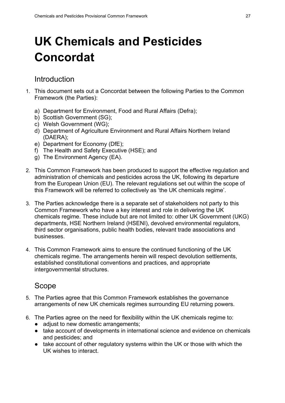# <span id="page-30-0"></span>**UK Chemicals and Pesticides Concordat**

#### <span id="page-30-1"></span>Introduction

- 1. This document sets out a Concordat between the following Parties to the Common Framework (the Parties):
	- a) Department for Environment, Food and Rural Affairs (Defra);
	- b) Scottish Government (SG);
	- c) Welsh Government (WG);
	- d) Department of Agriculture Environment and Rural Affairs Northern Ireland (DAERA);
	- e) Department for Economy (DfE);
	- f) The Health and Safety Executive (HSE); and
	- g) The Environment Agency (EA).
- 2. This Common Framework has been produced to support the effective regulation and administration of chemicals and pesticides across the UK, following its departure from the European Union (EU). The relevant regulations set out within the scope of this Framework will be referred to collectively as 'the UK chemicals regime'.
- 3. The Parties acknowledge there is a separate set of stakeholders not party to this Common Framework who have a key interest and role in delivering the UK chemicals regime. These include but are not limited to: other UK Government (UKG) departments, HSE Northern Ireland (HSENI), devolved environmental regulators, third sector organisations, public health bodies, relevant trade associations and businesses.
- 4. This Common Framework aims to ensure the continued functioning of the UK chemicals regime. The arrangements herein will respect devolution settlements, established constitutional conventions and practices, and appropriate intergovernmental structures.

# <span id="page-30-2"></span>Scope

- 5. The Parties agree that this Common Framework establishes the governance arrangements of new UK chemicals regimes surrounding EU returning powers.
- 6. The Parties agree on the need for flexibility within the UK chemicals regime to:
	- adjust to new domestic arrangements;
	- take account of developments in international science and evidence on chemicals and pesticides; and
	- take account of other regulatory systems within the UK or those with which the UK wishes to interact.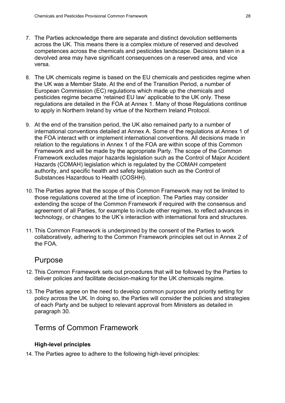- 7. The Parties acknowledge there are separate and distinct devolution settlements across the UK. This means there is a complex mixture of reserved and devolved competences across the chemicals and pesticides landscape. Decisions taken in a devolved area may have significant consequences on a reserved area, and vice versa.
- 8. The UK chemicals regime is based on the EU chemicals and pesticides regime when the UK was a Member State. At the end of the Transition Period, a number of European Commission (EC) regulations which made up the chemicals and pesticides regime became 'retained EU law' applicable to the UK only. These regulations are detailed in the FOA at Annex 1. Many of those Regulations continue to apply in Northern Ireland by virtue of the Northern Ireland Protocol.
- 9. At the end of the transition period, the UK also remained party to a number of international conventions detailed at Annex A. Some of the regulations at Annex 1 of the FOA interact with or implement international conventions. All decisions made in relation to the regulations in Annex 1 of the FOA are within scope of this Common Framework and will be made by the appropriate Party. The scope of the Common Framework excludes major hazards legislation such as the Control of Major Accident Hazards (COMAH) legislation which is regulated by the COMAH competent authority, and specific health and safety legislation such as the Control of Substances Hazardous to Health (COSHH).
- 10. The Parties agree that the scope of this Common Framework may not be limited to those regulations covered at the time of inception. The Parties may consider extending the scope of the Common Framework if required with the consensus and agreement of all Parties, for example to include other regimes, to reflect advances in technology, or changes to the UK's interaction with international fora and structures.
- 11. This Common Framework is underpinned by the consent of the Parties to work collaboratively, adhering to the Common Framework principles set out in Annex 2 of the FOA.

#### <span id="page-31-0"></span>Purpose

- 12. This Common Framework sets out procedures that will be followed by the Parties to deliver policies and facilitate decision-making for the UK chemicals regime.
- 13. The Parties agree on the need to develop common purpose and priority setting for policy across the UK. In doing so, the Parties will consider the policies and strategies of each Party and be subject to relevant approval from Ministers as detailed in paragraph 30.

# <span id="page-31-1"></span>Terms of Common Framework

#### **High-level principles**

14. The Parties agree to adhere to the following high-level principles: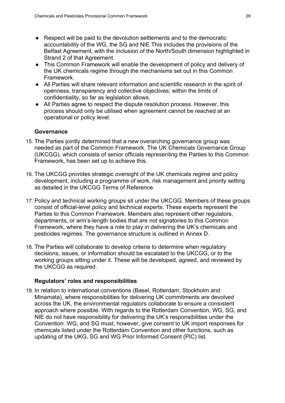- Respect will be paid to the devolution settlements and to the democratic accountability of the WG, the SG and NIE This includes the provisions of the Belfast Agreement, with the inclusion of the North/South dimension highlighted in Strand 2 of that Agreement.
- This Common Framework will enable the development of policy and delivery of the UK chemicals regime through the mechanisms set out in this Common Framework.
- All Parties will share relevant information and scientific research in the spirit of openness, transparency and collective objectives; within the limits of confidentiality, so far as legislation allows.
- All Parties agree to respect the dispute resolution process. However, this process should only be utilised when agreement cannot be reached at an operational or policy level.

#### **Governance**

- 15. The Parties jointly determined that a new overarching governance group was needed as part of the Common Framework. The UK Chemicals Governance Group (UKCGG), which consists of senior officials representing the Parties to this Common Framework, has been set up to achieve this.
- 16. The UKCGG provides strategic oversight of the UK chemicals regime and policy development, including a programme of work, risk management and priority setting as detailed in the UKCGG Terms of Reference.
- 17. Policy and technical working groups sit under the UKCGG. Members of these groups consist of official-level policy and technical experts. These experts represent the Parties to this Common Framework. Members also represent other regulators, departments, or arm's-length bodies that are not signatories to this Common Framework, where they have a role to play in delivering the UK's chemicals and pesticides regimes. The governance structure is outlined in Annex D.
- 18. The Parties will collaborate to develop criteria to determine when regulatory decisions, issues, or information should be escalated to the UKCGG, or to the working groups sitting under it. These will be developed, agreed, and reviewed by the UKCGG as required.

#### **Regulators' roles and responsibilities**

19. In relation to international conventions (Basel, Rotterdam, Stockholm and Minamata), where responsibilities for delivering UK commitments are devolved across the UK, the environmental regulators collaborate to ensure a consistent approach where possible. With regards to the Rotterdam Convention, WG, SG, and NIE do not have responsibility for delivering the UK's responsibilities under the Convention. WG, and SG must, however, give consent to UK import responses for chemicals listed under the Rotterdam Convention and other functions, such as updating of the UKG, SG and WG Prior Informed Consent (PIC) list.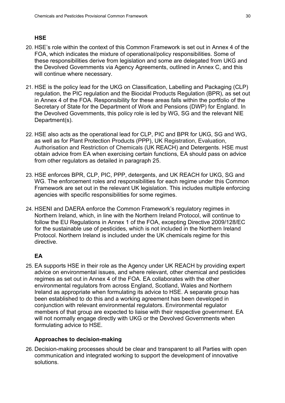#### **HSE**

- 20. HSE's role within the context of this Common Framework is set out in Annex 4 of the FOA, which indicates the mixture of operational/policy responsibilities. Some of these responsibilities derive from legislation and some are delegated from UKG and the Devolved Governments via Agency Agreements, outlined in Annex C, and this will continue where necessary.
- 21. HSE is the policy lead for the UKG on Classification, Labelling and Packaging (CLP) regulation, the PIC regulation and the Biocidal Products Regulation (BPR), as set out in Annex 4 of the FOA. Responsibility for these areas falls within the portfolio of the Secretary of State for the Department of Work and Pensions (DWP) for England. In the Devolved Governments, this policy role is led by WG, SG and the relevant NIE Department(s).
- 22. HSE also acts as the operational lead for CLP, PIC and BPR for UKG, SG and WG, as well as for Plant Protection Products (PPP), UK Registration, Evaluation, Authorisation and Restriction of Chemicals (UK REACH) and Detergents. HSE must obtain advice from EA when exercising certain functions, EA should pass on advice from other regulators as detailed in paragraph 25.
- 23. HSE enforces BPR, CLP, PIC, PPP, detergents, and UK REACH for UKG, SG and WG. The enforcement roles and responsibilities for each regime under this Common Framework are set out in the relevant UK legislation. This includes multiple enforcing agencies with specific responsibilities for some regimes.
- 24. HSENI and DAERA enforce the Common Framework's regulatory regimes in Northern Ireland, which, in line with the Northern Ireland Protocol, will continue to follow the EU Regulations in Annex 1 of the FOA, excepting Directive 2009/128/EC for the sustainable use of pesticides, which is not included in the Northern Ireland Protocol. Northern Ireland is included under the UK chemicals regime for this directive.

#### **EA**

25. EA supports HSE in their role as the Agency under UK REACH by providing expert advice on environmental issues, and where relevant, other chemical and pesticides regimes as set out in Annex 4 of the FOA. EA collaborates with the other environmental regulators from across England, Scotland, Wales and Northern Ireland as appropriate when formulating its advice to HSE. A separate group has been established to do this and a working agreement has been developed in conjunction with relevant environmental regulators. Environmental regulator members of that group are expected to liaise with their respective government. EA will not normally engage directly with UKG or the Devolved Governments when formulating advice to HSE.

#### **Approaches to decision-making**

26. Decision-making processes should be clear and transparent to all Parties with open communication and integrated working to support the development of innovative solutions.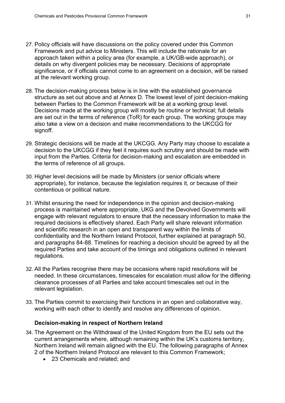- 27. Policy officials will have discussions on the policy covered under this Common Framework and put advice to Ministers. This will include the rationale for an approach taken within a policy area (for example, a UK/GB-wide approach), or details on why divergent policies may be necessary. Decisions of appropriate significance, or if officials cannot come to an agreement on a decision, will be raised at the relevant working group.
- 28. The decision-making process below is in line with the established governance structure as set out above and at Annex D. The lowest level of joint decision-making between Parties to the Common Framework will be at a working group level. Decisions made at the working group will mostly be routine or technical; full details are set out in the terms of reference (ToR) for each group. The working groups may also take a view on a decision and make recommendations to the UKCGG for signoff.
- 29. Strategic decisions will be made at the UKCGG. Any Party may choose to escalate a decision to the UKCGG if they feel it requires such scrutiny and should be made with input from the Parties. Criteria for decision-making and escalation are embedded in the terms of reference of all groups.
- 30. Higher level decisions will be made by Ministers (or senior officials where appropriate), for instance, because the legislation requires it, or because of their contentious or political nature.
- 31. Whilst ensuring the need for independence in the opinion and decision-making process is maintained where appropriate, UKG and the Devolved Governments will engage with relevant regulators to ensure that the necessary information to make the required decisions is effectively shared. Each Party will share relevant information and scientific research in an open and transparent way within the limits of confidentiality and the Northern Ireland Protocol, further explained at paragraph 50, and paragraphs 84-88. Timelines for reaching a decision should be agreed by all the required Parties and take account of the timings and obligations outlined in relevant regulations.
- 32. All the Parties recognise there may be occasions where rapid resolutions will be needed. In these circumstances, timescales for escalation must allow for the differing clearance processes of all Parties and take account timescales set out in the relevant legislation.
- 33. The Parties commit to exercising their functions in an open and collaborative way, working with each other to identify and resolve any differences of opinion.

#### **Decision-making in respect of Northern Ireland**

- 34. The Agreement on the Withdrawal of the United Kingdom from the EU sets out the current arrangements where, although remaining within the UK's customs territory, Northern Ireland will remain aligned with the EU. The following paragraphs of Annex 2 of the Northern Ireland Protocol are relevant to this Common Framework;
	- 23 Chemicals and related; and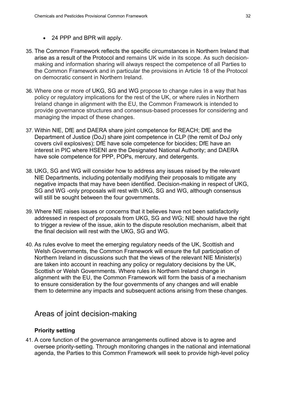- 24 PPP and BPR will apply.
- 35. The Common Framework reflects the specific circumstances in Northern Ireland that arise as a result of the Protocol and remains UK wide in its scope. As such decisionmaking and information sharing will always respect the competence of all Parties to the Common Framework and in particular the provisions in Article 18 of the Protocol on democratic consent in Northern Ireland.
- 36. Where one or more of UKG, SG and WG propose to change rules in a way that has policy or regulatory implications for the rest of the UK, or where rules in Northern Ireland change in alignment with the EU, the Common Framework is intended to provide governance structures and consensus-based processes for considering and managing the impact of these changes.
- 37. Within NIE, DfE and DAERA share joint competence for REACH; DfE and the Department of Justice (DoJ) share joint competence in CLP (the remit of DoJ only covers civil explosives); DfE have sole competence for biocides; DfE have an interest in PIC where HSENI are the Designated National Authority; and DAERA have sole competence for PPP, POPs, mercury, and detergents.
- 38. UKG, SG and WG will consider how to address any issues raised by the relevant NIE Departments, including potentially modifying their proposals to mitigate any negative impacts that may have been identified. Decision-making in respect of UKG, SG and WG -only proposals will rest with UKG, SG and WG, although consensus will still be sought between the four governments.
- 39. Where NIE raises issues or concerns that it believes have not been satisfactorily addressed in respect of proposals from UKG, SG and WG; NIE should have the right to trigger a review of the issue, akin to the dispute resolution mechanism, albeit that the final decision will rest with the UKG, SG and WG.
- 40. As rules evolve to meet the emerging regulatory needs of the UK, Scottish and Welsh Governments, the Common Framework will ensure the full participation of Northern Ireland in discussions such that the views of the relevant NIE Minister(s) are taken into account in reaching any policy or regulatory decisions by the UK, Scottish or Welsh Governments. Where rules in Northern Ireland change in alignment with the EU, the Common Framework will form the basis of a mechanism to ensure consideration by the four governments of any changes and will enable them to determine any impacts and subsequent actions arising from these changes.

#### <span id="page-35-0"></span>Areas of joint decision-making

#### **Priority setting**

41. A core function of the governance arrangements outlined above is to agree and oversee priority-setting. Through monitoring changes in the national and international agenda, the Parties to this Common Framework will seek to provide high-level policy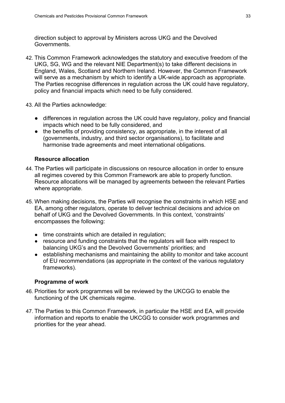direction subject to approval by Ministers across UKG and the Devolved Governments.

42. This Common Framework acknowledges the statutory and executive freedom of the UKG, SG, WG and the relevant NIE Department(s) to take different decisions in England, Wales, Scotland and Northern Ireland. However, the Common Framework will serve as a mechanism by which to identify a UK-wide approach as appropriate. The Parties recognise differences in regulation across the UK could have regulatory, policy and financial impacts which need to be fully considered.

43. All the Parties acknowledge:

- differences in regulation across the UK could have regulatory, policy and financial impacts which need to be fully considered, and
- the benefits of providing consistency, as appropriate, in the interest of all (governments, industry, and third sector organisations), to facilitate and harmonise trade agreements and meet international obligations.

#### **Resource allocation**

- 44. The Parties will participate in discussions on resource allocation in order to ensure all regimes covered by this Common Framework are able to properly function. Resource allocations will be managed by agreements between the relevant Parties where appropriate.
- 45. When making decisions, the Parties will recognise the constraints in which HSE and EA, among other regulators, operate to deliver technical decisions and advice on behalf of UKG and the Devolved Governments. In this context, 'constraints' encompasses the following:
	- time constraints which are detailed in regulation;
	- resource and funding constraints that the regulators will face with respect to balancing UKG's and the Devolved Governments' priorities; and
	- establishing mechanisms and maintaining the ability to monitor and take account of EU recommendations (as appropriate in the context of the various regulatory frameworks).

#### **Programme of work**

- 46. Priorities for work programmes will be reviewed by the UKCGG to enable the functioning of the UK chemicals regime.
- 47. The Parties to this Common Framework, in particular the HSE and EA, will provide information and reports to enable the UKCGG to consider work programmes and priorities for the year ahead.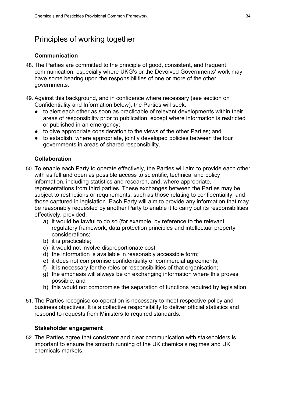# <span id="page-37-0"></span>Principles of working together

#### **Communication**

- 48. The Parties are committed to the principle of good, consistent, and frequent communication, especially where UKG's or the Devolved Governments' work may have some bearing upon the responsibilities of one or more of the other governments.
- 49. Against this background, and in confidence where necessary (see section on Confidentiality and Information below), the Parties will seek:
	- to alert each other as soon as practicable of relevant developments within their areas of responsibility prior to publication, except where information is restricted or published in an emergency;
	- to give appropriate consideration to the views of the other Parties; and
	- to establish, where appropriate, jointly developed policies between the four governments in areas of shared responsibility.

#### **Collaboration**

- 50. To enable each Party to operate effectively, the Parties will aim to provide each other with as full and open as possible access to scientific, technical and policy information, including statistics and research, and, where appropriate, representations from third parties. These exchanges between the Parties may be subject to restrictions or requirements, such as those relating to confidentiality, and those captured in legislation. Each Party will aim to provide any information that may be reasonably requested by another Party to enable it to carry out its responsibilities effectively, provided:
	- a) it would be lawful to do so (for example, by reference to the relevant regulatory framework, data protection principles and intellectual property considerations;
	- b) it is practicable;
	- c) it would not involve disproportionate cost;
	- d) the information is available in reasonably accessible form;
	- e) it does not compromise confidentiality or commercial agreements;
	- f) it is necessary for the roles or responsibilities of that organisation;
	- g) the emphasis will always be on exchanging information where this proves possible; and
	- h) this would not compromise the separation of functions required by legislation.
- 51. The Parties recognise co-operation is necessary to meet respective policy and business objectives. It is a collective responsibility to deliver official statistics and respond to requests from Ministers to required standards.

#### **Stakeholder engagement**

52. The Parties agree that consistent and clear communication with stakeholders is important to ensure the smooth running of the UK chemicals regimes and UK chemicals markets.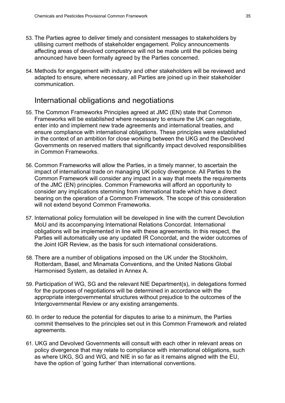- 53. The Parties agree to deliver timely and consistent messages to stakeholders by utilising current methods of stakeholder engagement. Policy announcements affecting areas of devolved competence will not be made until the policies being announced have been formally agreed by the Parties concerned.
- 54. Methods for engagement with industry and other stakeholders will be reviewed and adapted to ensure, where necessary, all Parties are joined up in their stakeholder communication.

#### <span id="page-38-0"></span>International obligations and negotiations

- 55. The Common Frameworks Principles agreed at JMC (EN) state that Common Frameworks will be established where necessary to ensure the UK can negotiate, enter into and implement new trade agreements and international treaties, and ensure compliance with international obligations. These principles were established in the context of an ambition for close working between the UKG and the Devolved Governments on reserved matters that significantly impact devolved responsibilities in Common Frameworks.
- 56. Common Frameworks will allow the Parties, in a timely manner, to ascertain the impact of international trade on managing UK policy divergence. All Parties to the Common Framework will consider any impact in a way that meets the requirements of the JMC (EN) principles. Common Frameworks will afford an opportunity to consider any implications stemming from international trade which have a direct bearing on the operation of a Common Framework. The scope of this consideration will not extend beyond Common Frameworks.
- 57. International policy formulation will be developed in line with the current Devolution MoU and its accompanying International Relations Concordat. International obligations will be implemented in line with these agreements. In this respect, the Parties will automatically use any updated IR Concordat, and the wider outcomes of the Joint IGR Review, as the basis for such international considerations.
- 58. There are a number of obligations imposed on the UK under the Stockholm, Rotterdam, Basel, and Minamata Conventions, and the United Nations Global Harmonised System, as detailed in Annex A.
- 59. Participation of WG, SG and the relevant NIE Department(s), in delegations formed for the purposes of negotiations will be determined in accordance with the appropriate intergovernmental structures without prejudice to the outcomes of the Intergovernmental Review or any existing arrangements.
- 60. In order to reduce the potential for disputes to arise to a minimum, the Parties commit themselves to the principles set out in this Common Framework and related agreements.
- 61. UKG and Devolved Governments will consult with each other in relevant areas on policy divergence that may relate to compliance with international obligations, such as where UKG, SG and WG, and NIE in so far as it remains aligned with the EU, have the option of 'going further' than international conventions.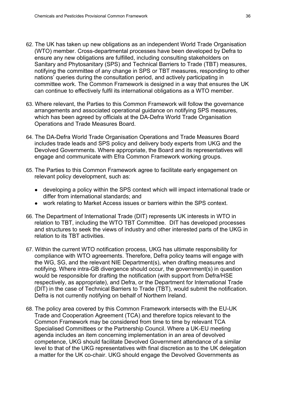- 62. The UK has taken up new obligations as an independent World Trade Organisation (WTO) member. Cross-departmental processes have been developed by Defra to ensure any new obligations are fulfilled, including consulting stakeholders on Sanitary and Phytosanitary (SPS) and Technical Barriers to Trade (TBT) measures, notifying the committee of any change in SPS or TBT measures, responding to other nations' queries during the consultation period, and actively participating in committee work. The Common Framework is designed in a way that ensures the UK can continue to effectively fulfil its international obligations as a WTO member.
- 63. Where relevant, the Parties to this Common Framework will follow the governance arrangements and associated operational guidance on notifying SPS measures, which has been agreed by officials at the DA-Defra World Trade Organisation Operations and Trade Measures Board.
- 64. The DA-Defra World Trade Organisation Operations and Trade Measures Board includes trade leads and SPS policy and delivery body experts from UKG and the Devolved Governments. Where appropriate, the Board and its representatives will engage and communicate with Efra Common Framework working groups.
- 65. The Parties to this Common Framework agree to facilitate early engagement on relevant policy development, such as:
	- developing a policy within the SPS context which will impact international trade or differ from international standards; and
	- work relating to Market Access issues or barriers within the SPS context.
- 66. The Department of International Trade (DIT) represents UK interests in WTO in relation to TBT, including the WTO TBT Committee. DIT has developed processes and structures to seek the views of industry and other interested parts of the UKG in relation to its TBT activities.
- 67. Within the current WTO notification process, UKG has ultimate responsibility for compliance with WTO agreements. Therefore, Defra policy teams will engage with the WG, SG, and the relevant NIE Department(s), when drafting measures and notifying. Where intra-GB divergence should occur, the government(s) in question would be responsible for drafting the notification (with support from Defra/HSE respectively, as appropriate), and Defra, or the Department for International Trade (DIT) in the case of Technical Barriers to Trade (TBT), would submit the notification. Defra is not currently notifying on behalf of Northern Ireland.
- 68. The policy area covered by this Common Framework intersects with the EU-UK Trade and Cooperation Agreement (TCA) and therefore topics relevant to the Common Framework may be considered from time to time by relevant TCA Specialised Committees or the Partnership Council. Where a UK-EU meeting agenda includes an item concerning implementation in an area of devolved competence, UKG should facilitate Devolved Government attendance of a similar level to that of the UKG representatives with final discretion as to the UK delegation a matter for the UK co-chair. UKG should engage the Devolved Governments as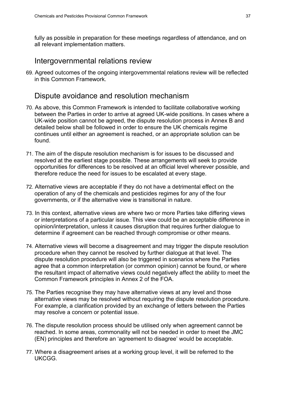fully as possible in preparation for these meetings regardless of attendance, and on all relevant implementation matters.

#### <span id="page-40-0"></span>Intergovernmental relations review

69. Agreed outcomes of the ongoing intergovernmental relations review will be reflected in this Common Framework.

#### <span id="page-40-1"></span>Dispute avoidance and resolution mechanism

- 70. As above, this Common Framework is intended to facilitate collaborative working between the Parties in order to arrive at agreed UK-wide positions. In cases where a UK-wide position cannot be agreed, the dispute resolution process in Annex B and detailed below shall be followed in order to ensure the UK chemicals regime continues until either an agreement is reached, or an appropriate solution can be found.
- 71. The aim of the dispute resolution mechanism is for issues to be discussed and resolved at the earliest stage possible. These arrangements will seek to provide opportunities for differences to be resolved at an official level wherever possible, and therefore reduce the need for issues to be escalated at every stage.
- 72. Alternative views are acceptable if they do not have a detrimental effect on the operation of any of the chemicals and pesticides regimes for any of the four governments, or if the alternative view is transitional in nature.
- 73. In this context, alternative views are where two or more Parties take differing views or interpretations of a particular issue. This view could be an acceptable difference in opinion/interpretation, unless it causes disruption that requires further dialogue to determine if agreement can be reached through compromise or other means.
- 74. Alternative views will become a disagreement and may trigger the dispute resolution procedure when they cannot be resolved by further dialogue at that level. The dispute resolution procedure will also be triggered in scenarios where the Parties agree that a common interpretation (or common opinion) cannot be found, or where the resultant impact of alternative views could negatively affect the ability to meet the Common Framework principles in Annex 2 of the FOA.
- 75. The Parties recognise they may have alternative views at any level and those alternative views may be resolved without requiring the dispute resolution procedure. For example, a clarification provided by an exchange of letters between the Parties may resolve a concern or potential issue.
- 76. The dispute resolution process should be utilised only when agreement cannot be reached. In some areas, commonality will not be needed in order to meet the JMC (EN) principles and therefore an 'agreement to disagree' would be acceptable.
- 77. Where a disagreement arises at a working group level, it will be referred to the UKCGG.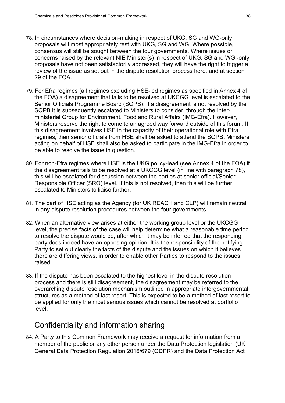- 78. In circumstances where decision-making in respect of UKG, SG and WG-only proposals will most appropriately rest with UKG, SG and WG. Where possible, consensus will still be sought between the four governments. Where issues or concerns raised by the relevant NIE Minister(s) in respect of UKG, SG and WG -only proposals have not been satisfactorily addressed, they will have the right to trigger a review of the issue as set out in the dispute resolution process here, and at section 29 of the FOA.
- 79. For Efra regimes (all regimes excluding HSE-led regimes as specified in Annex 4 of the FOA) a disagreement that fails to be resolved at UKCGG level is escalated to the Senior Officials Programme Board (SOPB). If a disagreement is not resolved by the SOPB it is subsequently escalated to Ministers to consider, through the Interministerial Group for Environment, Food and Rural Affairs (IMG-Efra). However, Ministers reserve the right to come to an agreed way forward outside of this forum. If this disagreement involves HSE in the capacity of their operational role with Efra regimes, then senior officials from HSE shall be asked to attend the SOPB. Ministers acting on behalf of HSE shall also be asked to participate in the IMG-Efra in order to be able to resolve the issue in question.
- 80. For non-Efra regimes where HSE is the UKG policy-lead (see Annex 4 of the FOA) if the disagreement fails to be resolved at a UKCGG level (in line with paragraph 78), this will be escalated for discussion between the parties at senior official/Senior Responsible Officer (SRO) level. If this is not resolved, then this will be further escalated to Ministers to liaise further.
- 81. The part of HSE acting as the Agency (for UK REACH and CLP) will remain neutral in any dispute resolution procedures between the four governments.
- 82. When an alternative view arises at either the working group level or the UKCGG level, the precise facts of the case will help determine what a reasonable time period to resolve the dispute would be, after which it may be inferred that the responding party does indeed have an opposing opinion. It is the responsibility of the notifying Party to set out clearly the facts of the dispute and the issues on which it believes there are differing views, in order to enable other Parties to respond to the issues raised.
- 83. If the dispute has been escalated to the highest level in the dispute resolution process and there is still disagreement, the disagreement may be referred to the overarching dispute resolution mechanism outlined in appropriate intergovernmental structures as a method of last resort. This is expected to be a method of last resort to be applied for only the most serious issues which cannot be resolved at portfolio level.

#### <span id="page-41-0"></span>Confidentiality and information sharing

84. A Party to this Common Framework may receive a request for information from a member of the public or any other person under the Data Protection legislation (UK General Data Protection Regulation 2016/679 (GDPR) and the Data Protection Act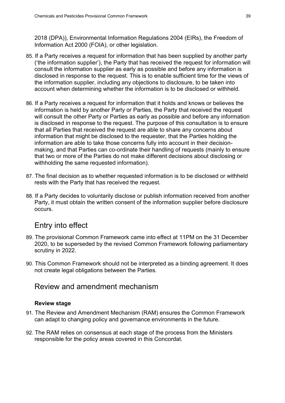2018 (DPA)), Environmental Information Regulations 2004 (EIRs), the Freedom of Information Act 2000 (FOIA), or other legislation.

- 85. If a Party receives a request for information that has been supplied by another party ('the information supplier'), the Party that has received the request for information will consult the information supplier as early as possible and before any information is disclosed in response to the request. This is to enable sufficient time for the views of the information supplier, including any objections to disclosure, to be taken into account when determining whether the information is to be disclosed or withheld.
- 86. If a Party receives a request for information that it holds and knows or believes the information is held by another Party or Parties, the Party that received the request will consult the other Party or Parties as early as possible and before any information is disclosed in response to the request. The purpose of this consultation is to ensure that all Parties that received the request are able to share any concerns about information that might be disclosed to the requester, that the Parties holding the information are able to take those concerns fully into account in their decisionmaking, and that Parties can co-ordinate their handling of requests (mainly to ensure that two or more of the Parties do not make different decisions about disclosing or withholding the same requested information).
- 87. The final decision as to whether requested information is to be disclosed or withheld rests with the Party that has received the request.
- 88. If a Party decides to voluntarily disclose or publish information received from another Party, it must obtain the written consent of the information supplier before disclosure occurs.

# <span id="page-42-0"></span>Entry into effect

- 89. The provisional Common Framework came into effect at 11PM on the 31 December 2020, to be superseded by the revised Common Framework following parliamentary scrutiny in 2022.
- 90. This Common Framework should not be interpreted as a binding agreement. It does not create legal obligations between the Parties.

#### <span id="page-42-1"></span>Review and amendment mechanism

#### **Review stage**

- 91. The Review and Amendment Mechanism (RAM) ensures the Common Framework can adapt to changing policy and governance environments in the future.
- 92. The RAM relies on consensus at each stage of the process from the Ministers responsible for the policy areas covered in this Concordat.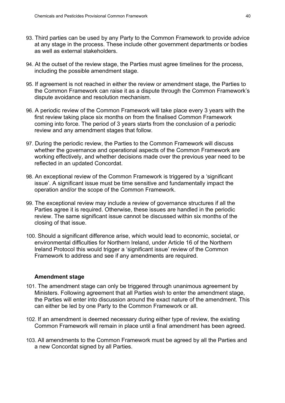- 93. Third parties can be used by any Party to the Common Framework to provide advice at any stage in the process. These include other government departments or bodies as well as external stakeholders.
- 94. At the outset of the review stage, the Parties must agree timelines for the process, including the possible amendment stage.
- 95. If agreement is not reached in either the review or amendment stage, the Parties to the Common Framework can raise it as a dispute through the Common Framework's dispute avoidance and resolution mechanism.
- 96. A periodic review of the Common Framework will take place every 3 years with the first review taking place six months on from the finalised Common Framework coming into force. The period of 3 years starts from the conclusion of a periodic review and any amendment stages that follow.
- 97. During the periodic review, the Parties to the Common Framework will discuss whether the governance and operational aspects of the Common Framework are working effectively, and whether decisions made over the previous year need to be reflected in an updated Concordat.
- 98. An exceptional review of the Common Framework is triggered by a 'significant issue'. A significant issue must be time sensitive and fundamentally impact the operation and/or the scope of the Common Framework.
- 99. The exceptional review may include a review of governance structures if all the Parties agree it is required. Otherwise, these issues are handled in the periodic review. The same significant issue cannot be discussed within six months of the closing of that issue.
- 100. Should a significant difference arise, which would lead to economic, societal, or environmental difficulties for Northern Ireland, under Article 16 of the Northern Ireland Protocol this would trigger a 'significant issue' review of the Common Framework to address and see if any amendments are required.

#### **Amendment stage**

- 101. The amendment stage can only be triggered through unanimous agreement by Ministers. Following agreement that all Parties wish to enter the amendment stage, the Parties will enter into discussion around the exact nature of the amendment. This can either be led by one Party to the Common Framework or all.
- 102. If an amendment is deemed necessary during either type of review, the existing Common Framework will remain in place until a final amendment has been agreed.
- 103. All amendments to the Common Framework must be agreed by all the Parties and a new Concordat signed by all Parties.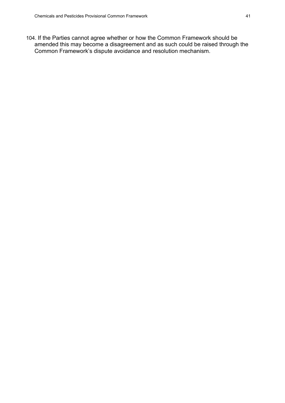104. If the Parties cannot agree whether or how the Common Framework should be amended this may become a disagreement and as such could be raised through the Common Framework's dispute avoidance and resolution mechanism.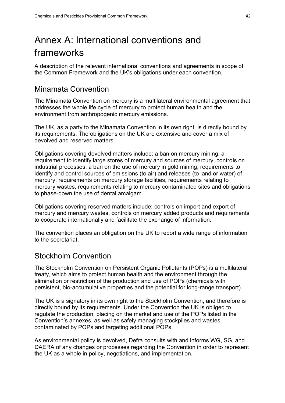# <span id="page-45-0"></span>Annex A: International conventions and frameworks

A description of the relevant international conventions and agreements in scope of the Common Framework and the UK's obligations under each convention.

### Minamata Convention

The Minamata Convention on mercury is a multilateral environmental agreement that addresses the whole life cycle of mercury to protect human health and the environment from anthropogenic mercury emissions.

The UK, as a party to the Minamata Convention in its own right, is directly bound by its requirements. The obligations on the UK are extensive and cover a mix of devolved and reserved matters.

Obligations covering devolved matters include: a ban on mercury mining, a requirement to identify large stores of mercury and sources of mercury, controls on industrial processes, a ban on the use of mercury in gold mining, requirements to identify and control sources of emissions (to air) and releases (to land or water) of mercury, requirements on mercury storage facilities, requirements relating to mercury wastes, requirements relating to mercury contaminated sites and obligations to phase-down the use of dental amalgam.

Obligations covering reserved matters include: controls on import and export of mercury and mercury wastes, controls on mercury added products and requirements to cooperate internationally and facilitate the exchange of information.

The convention places an obligation on the UK to report a wide range of information to the secretariat.

#### Stockholm Convention

The Stockholm Convention on Persistent Organic Pollutants (POPs) is a multilateral treaty, which aims to protect human health and the environment through the elimination or restriction of the production and use of POPs (chemicals with persistent, bio-accumulative properties and the potential for long-range transport).

The UK is a signatory in its own right to the Stockholm Convention, and therefore is directly bound by its requirements. Under the Convention the UK is obliged to regulate the production, placing on the market and use of the POPs listed in the Convention's annexes, as well as safely managing stockpiles and wastes contaminated by POPs and targeting additional POPs.

As environmental policy is devolved, Defra consults with and informs WG, SG, and DAERA of any changes or processes regarding the Convention in order to represent the UK as a whole in policy, negotiations, and implementation.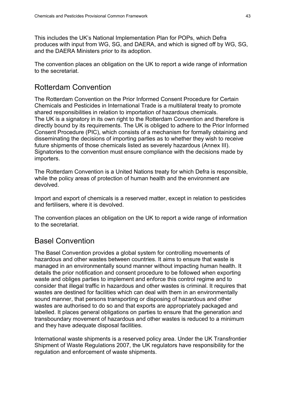This includes the UK's National Implementation Plan for POPs, which Defra produces with input from WG, SG, and DAERA, and which is signed off by WG, SG, and the DAERA Ministers prior to its adoption.

The convention places an obligation on the UK to report a wide range of information to the secretariat.

# Rotterdam Convention

The Rotterdam Convention on the Prior Informed Consent Procedure for Certain Chemicals and Pesticides in International Trade is a multilateral treaty to promote shared responsibilities in relation to importation of hazardous chemicals. The UK is a signatory in its own right to the Rotterdam Convention and therefore is directly bound by its requirements. The UK is obliged to adhere to the Prior Informed Consent Procedure (PIC), which consists of a mechanism for formally obtaining and disseminating the decisions of importing parties as to whether they wish to receive future shipments of those chemicals listed as severely hazardous (Annex III). Signatories to the convention must ensure compliance with the decisions made by importers.

The Rotterdam Convention is a United Nations treaty for which Defra is responsible, while the policy areas of protection of human health and the environment are devolved.

Import and export of chemicals is a reserved matter, except in relation to pesticides and fertilisers, where it is devolved.

The convention places an obligation on the UK to report a wide range of information to the secretariat.

# Basel Convention

The Basel Convention provides a global system for controlling movements of hazardous and other wastes between countries. It aims to ensure that waste is managed in an environmentally sound manner without impacting human health. It details the prior notification and consent procedure to be followed when exporting waste and obliges parties to implement and enforce this control regime and to consider that illegal traffic in hazardous and other wastes is criminal. It requires that wastes are destined for facilities which can deal with them in an environmentally sound manner, that persons transporting or disposing of hazardous and other wastes are authorised to do so and that exports are appropriately packaged and labelled. It places general obligations on parties to ensure that the generation and transboundary movement of hazardous and other wastes is reduced to a minimum and they have adequate disposal facilities.

International waste shipments is a reserved policy area. Under the UK Transfrontier Shipment of Waste Regulations 2007, the UK regulators have responsibility for the regulation and enforcement of waste shipments.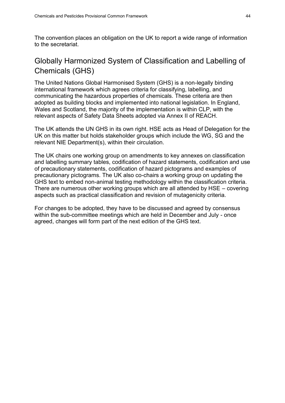The convention places an obligation on the UK to report a wide range of information to the secretariat.

# Globally Harmonized System of Classification and Labelling of Chemicals (GHS)

The United Nations Global Harmonised System (GHS) is a non-legally binding international framework which agrees criteria for classifying, labelling, and communicating the hazardous properties of chemicals. These criteria are then adopted as building blocks and implemented into national legislation. In England, Wales and Scotland, the majority of the implementation is within CLP, with the relevant aspects of Safety Data Sheets adopted via Annex II of REACH.

The UK attends the UN GHS in its own right. HSE acts as Head of Delegation for the UK on this matter but holds stakeholder groups which include the WG, SG and the relevant NIE Department(s), within their circulation.

The UK chairs one working group on amendments to key annexes on classification and labelling summary tables, codification of hazard statements, codification and use of precautionary statements, codification of hazard pictograms and examples of precautionary pictograms. The UK also co-chairs a working group on updating the GHS text to embed non-animal testing methodology within the classification criteria. There are numerous other working groups which are all attended by HSE – covering aspects such as practical classification and revision of mutagenicity criteria.

For changes to be adopted, they have to be discussed and agreed by consensus within the sub-committee meetings which are held in December and July - once agreed, changes will form part of the next edition of the GHS text.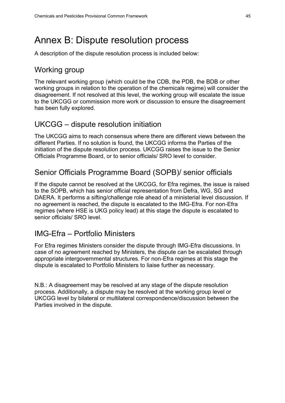# <span id="page-48-0"></span>Annex B: Dispute resolution process

A description of the dispute resolution process is included below:

#### Working group

The relevant working group (which could be the CDB, the PDB, the BDB or other working groups in relation to the operation of the chemicals regime) will consider the disagreement. If not resolved at this level, the working group will escalate the issue to the UKCGG or commission more work or discussion to ensure the disagreement has been fully explored.

#### UKCGG – dispute resolution initiation

The UKCGG aims to reach consensus where there are different views between the different Parties. If no solution is found, the UKCGG informs the Parties of the initiation of the dispute resolution process. UKCGG raises the issue to the Senior Officials Programme Board, or to senior officials/ SRO level to consider.

### Senior Officials Programme Board (SOPB)/ senior officials

If the dispute cannot be resolved at the UKCGG, for Efra regimes, the issue is raised to the SOPB, which has senior official representation from Defra, WG, SG and DAERA. It performs a sifting/challenge role ahead of a ministerial level discussion. If no agreement is reached, the dispute is escalated to the IMG-Efra. For non-Efra regimes (where HSE is UKG policy lead) at this stage the dispute is escalated to senior officials/ SRO level.

#### IMG-Efra – Portfolio Ministers

For Efra regimes Ministers consider the dispute through IMG-Efra discussions. In case of no agreement reached by Ministers, the dispute can be escalated through appropriate intergovernmental structures. For non-Efra regimes at this stage the dispute is escalated to Portfolio Ministers to liaise further as necessary.

N.B.: A disagreement may be resolved at any stage of the dispute resolution process. Additionally, a dispute may be resolved at the working group level or UKCGG level by bilateral or multilateral correspondence/discussion between the Parties involved in the dispute.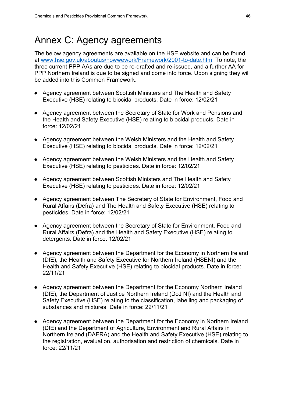# <span id="page-49-0"></span>Annex C: Agency agreements

The below agency agreements are available on the HSE website and can be found at [www.hse.gov.uk/aboutus/howwework/Framework/2001-to-date.htm.](http://www.hse.gov.uk/aboutus/howwework/framework/2001-to-date.htm) To note, the three current PPP AAs are due to be re-drafted and re-issued, and a further AA for PPP Northern Ireland is due to be signed and come into force. Upon signing they will be added into this Common Framework.

- Agency agreement between Scottish Ministers and The Health and Safety Executive (HSE) relating to biocidal products. Date in force: 12/02/21
- Agency agreement between the Secretary of State for Work and Pensions and the Health and Safety Executive (HSE) relating to biocidal products. Date in force: 12/02/21
- Agency agreement between the Welsh Ministers and the Health and Safety Executive (HSE) relating to biocidal products. Date in force: 12/02/21
- Agency agreement between the Welsh Ministers and the Health and Safety Executive (HSE) relating to pesticides. Date in force: 12/02/21
- Agency agreement between Scottish Ministers and The Health and Safety Executive (HSE) relating to pesticides. Date in force: 12/02/21
- Agency agreement between The Secretary of State for Environment, Food and Rural Affairs (Defra) and The Health and Safety Executive (HSE) relating to pesticides. Date in force: 12/02/21
- Agency agreement between the Secretary of State for Environment, Food and Rural Affairs (Defra) and the Health and Safety Executive (HSE) relating to detergents. Date in force: 12/02/21
- Agency agreement between the Department for the Economy in Northern Ireland (DfE), the Health and Safety Executive for Northern Ireland (HSENI) and the Health and Safety Executive (HSE) relating to biocidal products. Date in force: 22/11/21
- Agency agreement between the Department for the Economy Northern Ireland (DfE), the Department of Justice Northern Ireland (DoJ NI) and the Health and Safety Executive (HSE) relating to the classification, labelling and packaging of substances and mixtures. Date in force: 22/11/21
- Agency agreement between the Department for the Economy in Northern Ireland (DfE) and the Department of Agriculture, Environment and Rural Affairs in Northern Ireland (DAERA) and the Health and Safety Executive (HSE) relating to the registration, evaluation, authorisation and restriction of chemicals. Date in force: 22/11/21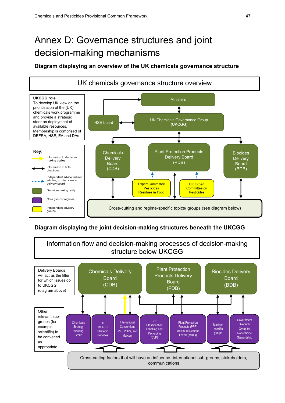# <span id="page-50-0"></span>Annex D: Governance structures and joint decision-making mechanisms

#### **Diagram displaying an overview of the UK chemicals governance structure**



#### **Diagram displaying the joint decision-making structures beneath the UKCGG**

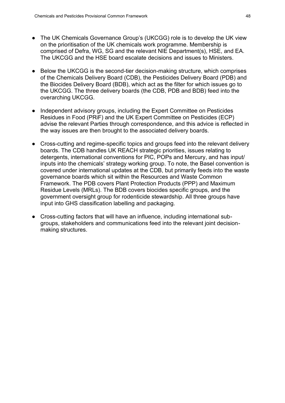- The UK Chemicals Governance Group's (UKCGG) role is to develop the UK view on the prioritisation of the UK chemicals work programme. Membership is comprised of Defra, WG, SG and the relevant NIE Department(s), HSE, and EA. The UKCGG and the HSE board escalate decisions and issues to Ministers.
- Below the UKCGG is the second-tier decision-making structure, which comprises of the Chemicals Delivery Board (CDB), the Pesticides Delivery Board (PDB) and the Biocides Delivery Board (BDB), which act as the filter for which issues go to the UKCGG. The three delivery boards (the CDB, PDB and BDB) feed into the overarching UKCGG.
- Independent advisory groups, including the Expert Committee on Pesticides Residues in Food (PRiF) and the UK Expert Committee on Pesticides (ECP) advise the relevant Parties through correspondence, and this advice is reflected in the way issues are then brought to the associated delivery boards.
- Cross-cutting and regime-specific topics and groups feed into the relevant delivery boards. The CDB handles UK REACH strategic priorities, issues relating to detergents, international conventions for PIC, POPs and Mercury, and has input/ inputs into the chemicals' strategy working group. To note, the Basel convention is covered under international updates at the CDB, but primarily feeds into the waste governance boards which sit within the Resources and Waste Common Framework. The PDB covers Plant Protection Products (PPP) and Maximum Residue Levels (MRLs). The BDB covers biocides specific groups, and the government oversight group for rodenticide stewardship. All three groups have input into GHS classification labelling and packaging.
- Cross-cutting factors that will have an influence, including international subgroups, stakeholders and communications feed into the relevant joint decisionmaking structures.